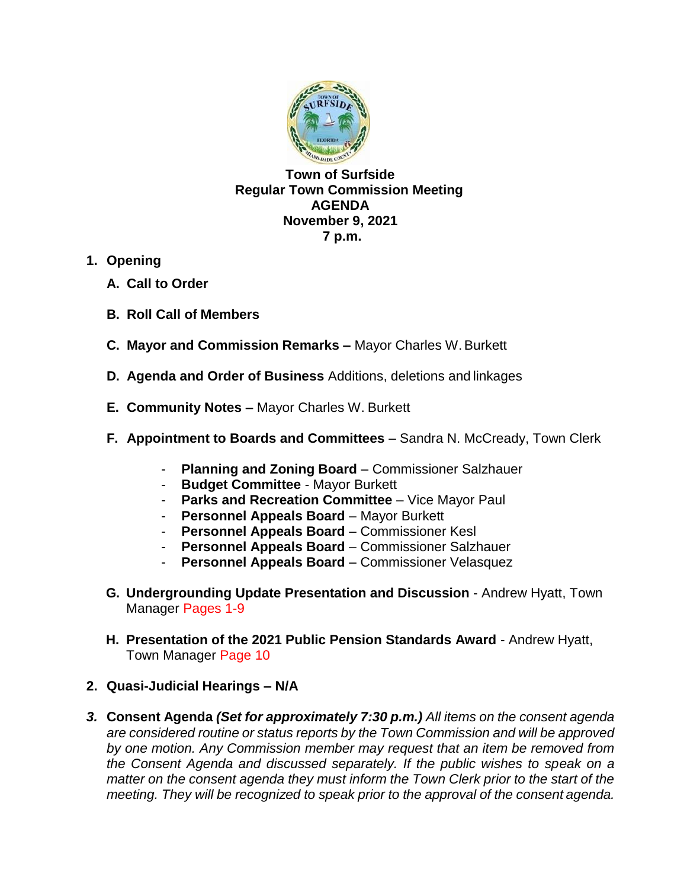

**Town of Surfside Regular Town Commission Meeting AGENDA November 9, 2021 7 p.m.**

- **1. Opening**
	- **A. Call to Order**
	- **B. Roll Call of Members**
	- **C. Mayor and Commission Remarks –** Mayor Charles W.Burkett
	- **D. Agenda and Order of Business** Additions, deletions and linkages
	- **E. Community Notes –** Mayor Charles W. Burkett
	- **F. Appointment to Boards and Committees** Sandra N. McCready, Town Clerk
		- **Planning and Zoning Board** Commissioner Salzhauer
		- **Budget Committee**  Mayor Burkett
		- **Parks and Recreation Committee**  Vice Mayor Paul
		- **Personnel Appeals Board** Mayor Burkett
		- **Personnel Appeals Board** Commissioner Kesl
		- **Personnel Appeals Board** Commissioner Salzhauer
		- **Personnel Appeals Board** Commissioner Velasquez
	- **G. Undergrounding Update Presentation and Discussion** Andrew Hyatt, Town Manager Pages 1-9
	- **H. Presentation of the 2021 Public Pension Standards Award**  Andrew Hyatt, Town Manager Page 10
- **2. Quasi-Judicial Hearings – N/A**
- *3.* **Consent Agenda** *(Set for approximately 7:30 p.m.) All items on the consent agenda are considered routine or status reports by the Town Commission and will be approved by one motion. Any Commission member may request that an item be removed from*  the Consent Agenda and discussed separately. If the public wishes to speak on a *matter on the consent agenda they must inform the Town Clerk prior to the start of the meeting. They will be recognized to speak prior to the approval of the consent agenda.*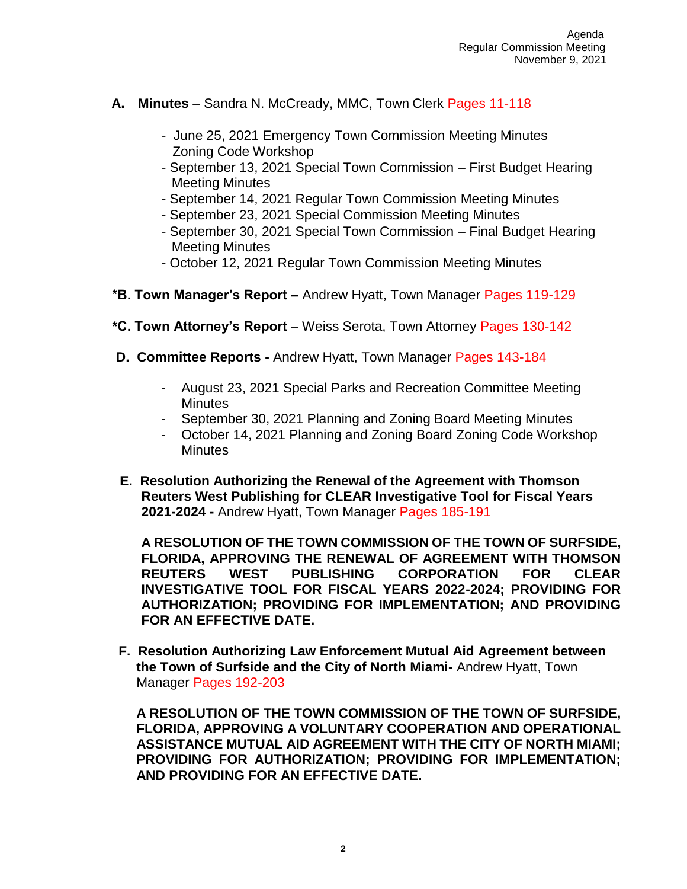- **A. Minutes**  Sandra N. McCready, MMC, Town Clerk Pages 11-118
	- June 25, 2021 Emergency Town Commission Meeting Minutes Zoning Code Workshop
	- September 13, 2021 Special Town Commission First Budget Hearing Meeting Minutes
	- September 14, 2021 Regular Town Commission Meeting Minutes
	- September 23, 2021 Special Commission Meeting Minutes
	- September 30, 2021 Special Town Commission Final Budget Hearing Meeting Minutes
	- October 12, 2021 Regular Town Commission Meeting Minutes
- **\*B. Town Manager's Report –** Andrew Hyatt, Town Manager Pages 119-129
- **\*C. Town Attorney's Report**  Weiss Serota, Town Attorney Pages 130-142
- **D. Committee Reports -** Andrew Hyatt, Town Manager Pages 143-184
	- August 23, 2021 Special Parks and Recreation Committee Meeting **Minutes**
	- September 30, 2021 Planning and Zoning Board Meeting Minutes
	- October 14, 2021 Planning and Zoning Board Zoning Code Workshop **Minutes**
- **E. Resolution Authorizing the Renewal of the Agreement with Thomson Reuters West Publishing for CLEAR Investigative Tool for Fiscal Years 2021-2024 -** Andrew Hyatt, Town Manager Pages 185-191

**A RESOLUTION OF THE TOWN COMMISSION OF THE TOWN OF SURFSIDE, FLORIDA, APPROVING THE RENEWAL OF AGREEMENT WITH THOMSON REUTERS WEST PUBLISHING CORPORATION FOR CLEAR INVESTIGATIVE TOOL FOR FISCAL YEARS 2022-2024; PROVIDING FOR AUTHORIZATION; PROVIDING FOR IMPLEMENTATION; AND PROVIDING FOR AN EFFECTIVE DATE.**

 **F. Resolution Authorizing Law Enforcement Mutual Aid Agreement between the Town of Surfside and the City of North Miami-** Andrew Hyatt, Town Manager Pages 192-203

**A RESOLUTION OF THE TOWN COMMISSION OF THE TOWN OF SURFSIDE, FLORIDA, APPROVING A VOLUNTARY COOPERATION AND OPERATIONAL ASSISTANCE MUTUAL AID AGREEMENT WITH THE CITY OF NORTH MIAMI; PROVIDING FOR AUTHORIZATION; PROVIDING FOR IMPLEMENTATION; AND PROVIDING FOR AN EFFECTIVE DATE.**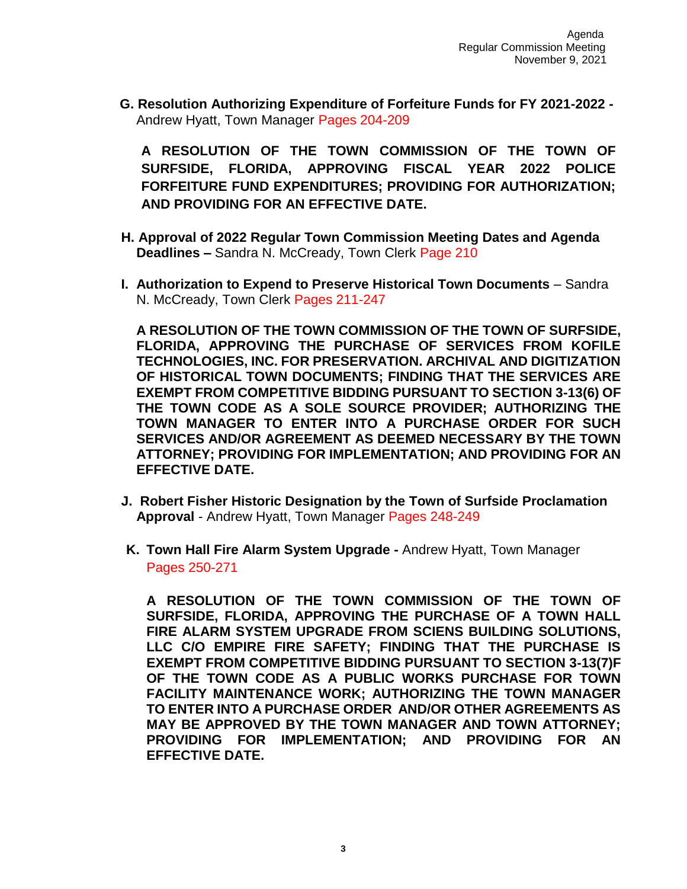**G. Resolution Authorizing Expenditure of Forfeiture Funds for FY 2021-2022 -** Andrew Hyatt, Town Manager Pages 204-209

**A RESOLUTION OF THE TOWN COMMISSION OF THE TOWN OF SURFSIDE, FLORIDA, APPROVING FISCAL YEAR 2022 POLICE FORFEITURE FUND EXPENDITURES; PROVIDING FOR AUTHORIZATION; AND PROVIDING FOR AN EFFECTIVE DATE.**

- **H. Approval of 2022 Regular Town Commission Meeting Dates and Agenda Deadlines –** Sandra N. McCready, Town Clerk Page 210
- **I. Authorization to Expend to Preserve Historical Town Documents** Sandra N. McCready, Town Clerk Pages 211-247

**A RESOLUTION OF THE TOWN COMMISSION OF THE TOWN OF SURFSIDE, FLORIDA, APPROVING THE PURCHASE OF SERVICES FROM KOFILE TECHNOLOGIES, INC. FOR PRESERVATION. ARCHIVAL AND DIGITIZATION OF HISTORICAL TOWN DOCUMENTS; FINDING THAT THE SERVICES ARE EXEMPT FROM COMPETITIVE BIDDING PURSUANT TO SECTION 3-13(6) OF THE TOWN CODE AS A SOLE SOURCE PROVIDER; AUTHORIZING THE TOWN MANAGER TO ENTER INTO A PURCHASE ORDER FOR SUCH SERVICES AND/OR AGREEMENT AS DEEMED NECESSARY BY THE TOWN ATTORNEY; PROVIDING FOR IMPLEMENTATION; AND PROVIDING FOR AN EFFECTIVE DATE.**

- **J. Robert Fisher Historic Designation by the Town of Surfside Proclamation Approval** - Andrew Hyatt, Town Manager Pages 248-249
- **K. Town Hall Fire Alarm System Upgrade -** Andrew Hyatt, Town Manager Pages 250-271

**A RESOLUTION OF THE TOWN COMMISSION OF THE TOWN OF SURFSIDE, FLORIDA, APPROVING THE PURCHASE OF A TOWN HALL FIRE ALARM SYSTEM UPGRADE FROM SCIENS BUILDING SOLUTIONS, LLC C/O EMPIRE FIRE SAFETY; FINDING THAT THE PURCHASE IS EXEMPT FROM COMPETITIVE BIDDING PURSUANT TO SECTION 3-13(7)F OF THE TOWN CODE AS A PUBLIC WORKS PURCHASE FOR TOWN FACILITY MAINTENANCE WORK; AUTHORIZING THE TOWN MANAGER TO ENTER INTO A PURCHASE ORDER AND/OR OTHER AGREEMENTS AS MAY BE APPROVED BY THE TOWN MANAGER AND TOWN ATTORNEY; PROVIDING FOR IMPLEMENTATION; AND PROVIDING FOR AN EFFECTIVE DATE.**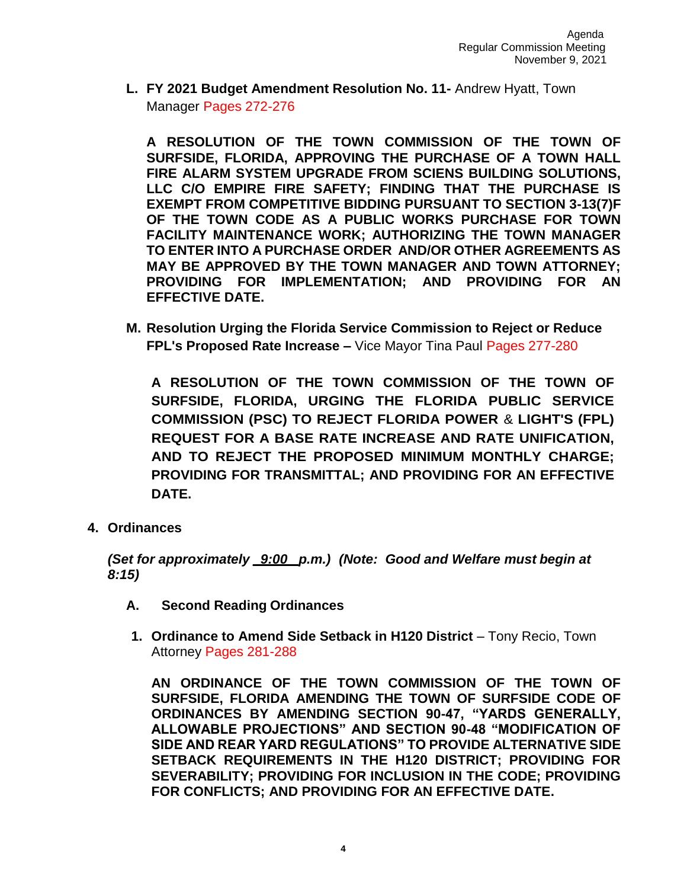**L. FY 2021 Budget Amendment Resolution No. 11-** Andrew Hyatt, Town Manager Pages 272-276

**A RESOLUTION OF THE TOWN COMMISSION OF THE TOWN OF SURFSIDE, FLORIDA, APPROVING THE PURCHASE OF A TOWN HALL FIRE ALARM SYSTEM UPGRADE FROM SCIENS BUILDING SOLUTIONS, LLC C/O EMPIRE FIRE SAFETY; FINDING THAT THE PURCHASE IS EXEMPT FROM COMPETITIVE BIDDING PURSUANT TO SECTION 3-13(7)F OF THE TOWN CODE AS A PUBLIC WORKS PURCHASE FOR TOWN FACILITY MAINTENANCE WORK; AUTHORIZING THE TOWN MANAGER TO ENTER INTO A PURCHASE ORDER AND/OR OTHER AGREEMENTS AS MAY BE APPROVED BY THE TOWN MANAGER AND TOWN ATTORNEY; PROVIDING FOR IMPLEMENTATION; AND PROVIDING FOR AN EFFECTIVE DATE.**

**M. Resolution Urging the Florida Service Commission to Reject or Reduce FPL's Proposed Rate Increase –** Vice Mayor Tina Paul Pages 277-280

**A RESOLUTION OF THE TOWN COMMISSION OF THE TOWN OF SURFSIDE, FLORIDA, URGING THE FLORIDA PUBLIC SERVICE COMMISSION (PSC) TO REJECT FLORIDA POWER** & **LIGHT'S (FPL) REQUEST FOR A BASE RATE INCREASE AND RATE UNIFICATION, AND TO REJECT THE PROPOSED MINIMUM MONTHLY CHARGE; PROVIDING FOR TRANSMITTAL; AND PROVIDING FOR AN EFFECTIVE DATE.**

**4. Ordinances**

*(Set for approximately \_9:00\_ p.m.) (Note: Good and Welfare must begin at 8:15)*

- **A. Second Reading Ordinances**
- **1. Ordinance to Amend Side Setback in H120 District**  Tony Recio, Town Attorney Pages 281-288

**AN ORDINANCE OF THE TOWN COMMISSION OF THE TOWN OF SURFSIDE, FLORIDA AMENDING THE TOWN OF SURFSIDE CODE OF ORDINANCES BY AMENDING SECTION 90-47, "YARDS GENERALLY, ALLOWABLE PROJECTIONS" AND SECTION 90-48 "MODIFICATION OF SIDE AND REAR YARD REGULATIONS" TO PROVIDE ALTERNATIVE SIDE SETBACK REQUIREMENTS IN THE H120 DISTRICT; PROVIDING FOR SEVERABILITY; PROVIDING FOR INCLUSION IN THE CODE; PROVIDING FOR CONFLICTS; AND PROVIDING FOR AN EFFECTIVE DATE.**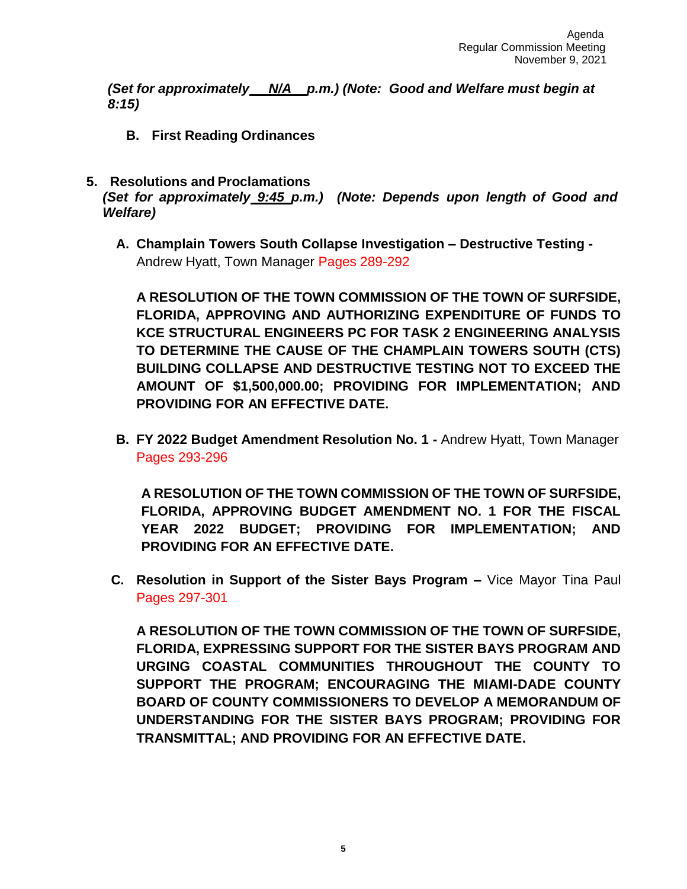*(Set for approximately N/A p.m.) (Note: Good and Welfare must begin at 8:15)*

**B. First Reading Ordinances**

*Welfare)*

- **5. Resolutions and Proclamations** *(Set for approximately 9:45 p.m.) (Note: Depends upon length of Good and*
	- **A. Champlain Towers South Collapse Investigation – Destructive Testing -** Andrew Hyatt, Town Manager Pages 289-292

**A RESOLUTION OF THE TOWN COMMISSION OF THE TOWN OF SURFSIDE, FLORIDA, APPROVING AND AUTHORIZING EXPENDITURE OF FUNDS TO KCE STRUCTURAL ENGINEERS PC FOR TASK 2 ENGINEERING ANALYSIS TO DETERMINE THE CAUSE OF THE CHAMPLAIN TOWERS SOUTH (CTS) BUILDING COLLAPSE AND DESTRUCTIVE TESTING NOT TO EXCEED THE AMOUNT OF \$1,500,000.00; PROVIDING FOR IMPLEMENTATION; AND PROVIDING FOR AN EFFECTIVE DATE.**

**B. FY 2022 Budget Amendment Resolution No. 1 -** Andrew Hyatt, Town Manager Pages 293-296

**A RESOLUTION OF THE TOWN COMMISSION OF THE TOWN OF SURFSIDE, FLORIDA, APPROVING BUDGET AMENDMENT NO. 1 FOR THE FISCAL YEAR 2022 BUDGET; PROVIDING FOR IMPLEMENTATION; AND PROVIDING FOR AN EFFECTIVE DATE.**

**C. Resolution in Support of the Sister Bays Program –** Vice Mayor Tina Paul Pages 297-301

**A RESOLUTION OF THE TOWN COMMISSION OF THE TOWN OF SURFSIDE, FLORIDA, EXPRESSING SUPPORT FOR THE SISTER BAYS PROGRAM AND URGING COASTAL COMMUNITIES THROUGHOUT THE COUNTY TO SUPPORT THE PROGRAM; ENCOURAGING THE MIAMI-DADE COUNTY BOARD OF COUNTY COMMISSIONERS TO DEVELOP A MEMORANDUM OF UNDERSTANDING FOR THE SISTER BAYS PROGRAM; PROVIDING FOR TRANSMITTAL; AND PROVIDING FOR AN EFFECTIVE DATE.**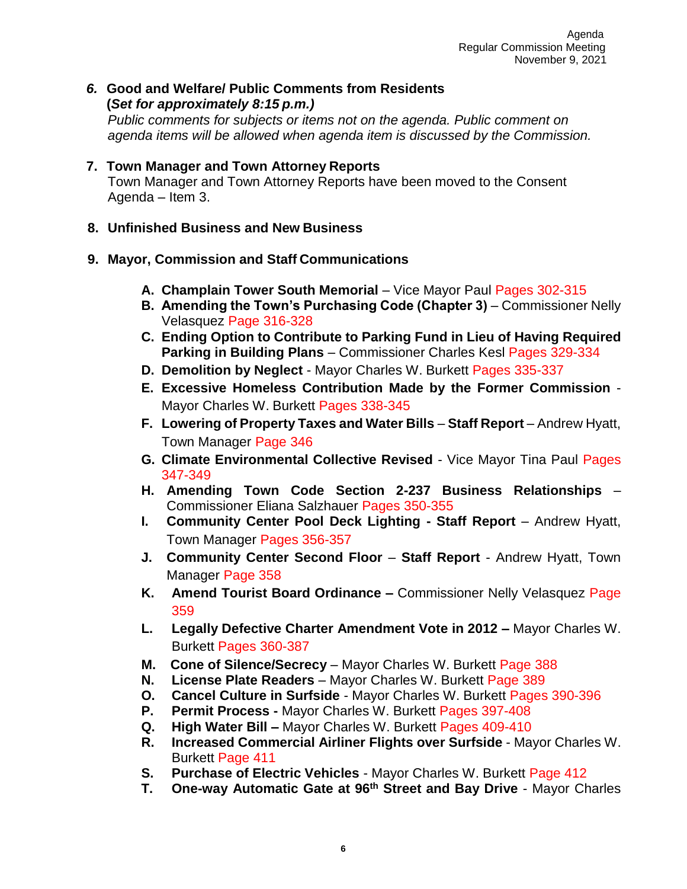*6.* **Good and Welfare/ Public Comments from Residents (***Set for approximately 8:15 p.m.) Public comments for subjects or items not on the agenda. Public comment on* 

*agenda items will be allowed when agenda item is discussed by the Commission.*

- **7. Town Manager and Town Attorney Reports** Town Manager and Town Attorney Reports have been moved to the Consent Agenda – Item 3.
- **8. Unfinished Business and New Business**

## **9. Mayor, Commission and Staff Communications**

- **A. Champlain Tower South Memorial** Vice Mayor Paul Pages 302-315
- **B. Amending the Town's Purchasing Code (Chapter 3) Commissioner Nelly** Velasquez Page 316-328
- **C. Ending Option to Contribute to Parking Fund in Lieu of Having Required Parking in Building Plans** – Commissioner Charles Kesl Pages 329-334
- **D. Demolition by Neglect**  Mayor Charles W. Burkett Pages 335-337
- **E. Excessive Homeless Contribution Made by the Former Commission**  Mayor Charles W. Burkett Pages 338-345
- **F. Lowering of Property Taxes and Water Bills Staff Report Andrew Hyatt,** Town Manager Page 346
- **G. Climate Environmental Collective Revised**  Vice Mayor Tina Paul Pages 347-349
- **H. Amending Town Code Section 2-237 Business Relationships**  Commissioner Eliana Salzhauer Pages 350-355
- **I.** Community Center Pool Deck Lighting Staff Report Andrew Hyatt, Town Manager Pages 356-357
- **J. Community Center Second Floor Staff Report**  Andrew Hyatt, Town Manager Page 358
- **K. Amend Tourist Board Ordinance –** Commissioner Nelly Velasquez Page 359
- **L. Legally Defective Charter Amendment Vote in 2012 –** Mayor Charles W. Burkett Pages 360-387
- **M. Cone of Silence/Secrecy** Mayor Charles W. Burkett Page 388
- **N. License Plate Readers**  Mayor Charles W. Burkett Page 389
- **O. Cancel Culture in Surfside**  Mayor Charles W. Burkett Pages 390-396
- **P. Permit Process -** Mayor Charles W. Burkett Pages 397-408
- **Q. High Water Bill –** Mayor Charles W. Burkett Pages 409-410
- **R. Increased Commercial Airliner Flights over Surfside** Mayor Charles W. Burkett Page 411
- **S. Purchase of Electric Vehicles** Mayor Charles W. Burkett Page 412
- **T. One-way Automatic Gate at 96th Street and Bay Drive** Mayor Charles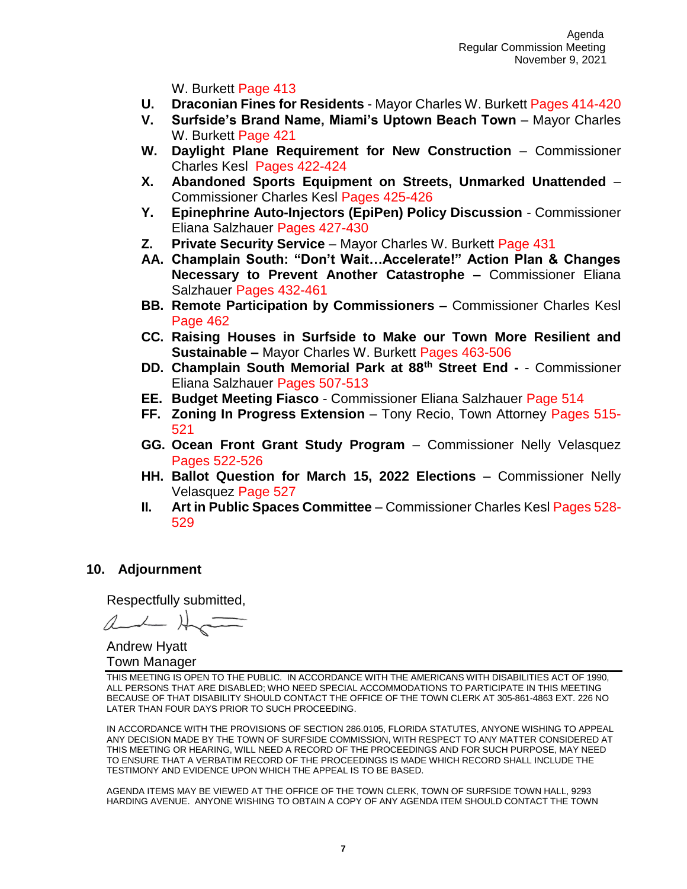W. Burkett Page 413

- **U. Draconian Fines for Residents** Mayor Charles W. Burkett Pages 414-420
- **V.** Surfside's Brand Name, Miami's Uptown Beach Town Mayor Charles W. Burkett Page 421
- W. Daylight Plane Requirement for New Construction Commissioner Charles Kesl Pages 422-424
- **X. Abandoned Sports Equipment on Streets, Unmarked Unattended** Commissioner Charles Kesl Pages 425-426
- **Y. Epinephrine Auto-Injectors (EpiPen) Policy Discussion** Commissioner Eliana Salzhauer Pages 427-430
- **Z. Private Security Service** Mayor Charles W. Burkett Page 431
- **AA. Champlain South: "Don't Wait…Accelerate!" Action Plan & Changes Necessary to Prevent Another Catastrophe –** Commissioner Eliana Salzhauer Pages 432-461
- **BB. Remote Participation by Commissioners –** Commissioner Charles Kesl Page 462
- **CC. Raising Houses in Surfside to Make our Town More Resilient and Sustainable –** Mayor Charles W. Burkett Pages 463-506
- **DD. Champlain South Memorial Park at 88th Street End -** Commissioner Eliana Salzhauer Pages 507-513
- **EE. Budget Meeting Fiasco**  Commissioner Eliana Salzhauer Page 514
- **FF. Zoning In Progress Extension**  Tony Recio, Town Attorney Pages 515- 521
- **GG. Ocean Front Grant Study Program**  Commissioner Nelly Velasquez Pages 522-526
- **HH. Ballot Question for March 15, 2022 Elections** Commissioner Nelly Velasquez Page 527
- **II. Art in Public Spaces Committee**  Commissioner Charles Kesl Pages 528- 529

## **10. Adjournment**

Respectfully submitted,

Andrew Hyatt Town Manager

THIS MEETING IS OPEN TO THE PUBLIC. IN ACCORDANCE WITH THE AMERICANS WITH DISABILITIES ACT OF 1990, ALL PERSONS THAT ARE DISABLED; WHO NEED SPECIAL ACCOMMODATIONS TO PARTICIPATE IN THIS MEETING BECAUSE OF THAT DISABILITY SHOULD CONTACT THE OFFICE OF THE TOWN CLERK AT 305-861-4863 EXT. 226 NO LATER THAN FOUR DAYS PRIOR TO SUCH PROCEEDING.

IN ACCORDANCE WITH THE PROVISIONS OF SECTION 286.0105, FLORIDA STATUTES, ANYONE WISHING TO APPEAL ANY DECISION MADE BY THE TOWN OF SURFSIDE COMMISSION, WITH RESPECT TO ANY MATTER CONSIDERED AT THIS MEETING OR HEARING, WILL NEED A RECORD OF THE PROCEEDINGS AND FOR SUCH PURPOSE, MAY NEED TO ENSURE THAT A VERBATIM RECORD OF THE PROCEEDINGS IS MADE WHICH RECORD SHALL INCLUDE THE TESTIMONY AND EVIDENCE UPON WHICH THE APPEAL IS TO BE BASED.

AGENDA ITEMS MAY BE VIEWED AT THE OFFICE OF THE TOWN CLERK, TOWN OF SURFSIDE TOWN HALL, 9293 HARDING AVENUE. ANYONE WISHING TO OBTAIN A COPY OF ANY AGENDA ITEM SHOULD CONTACT THE TOWN